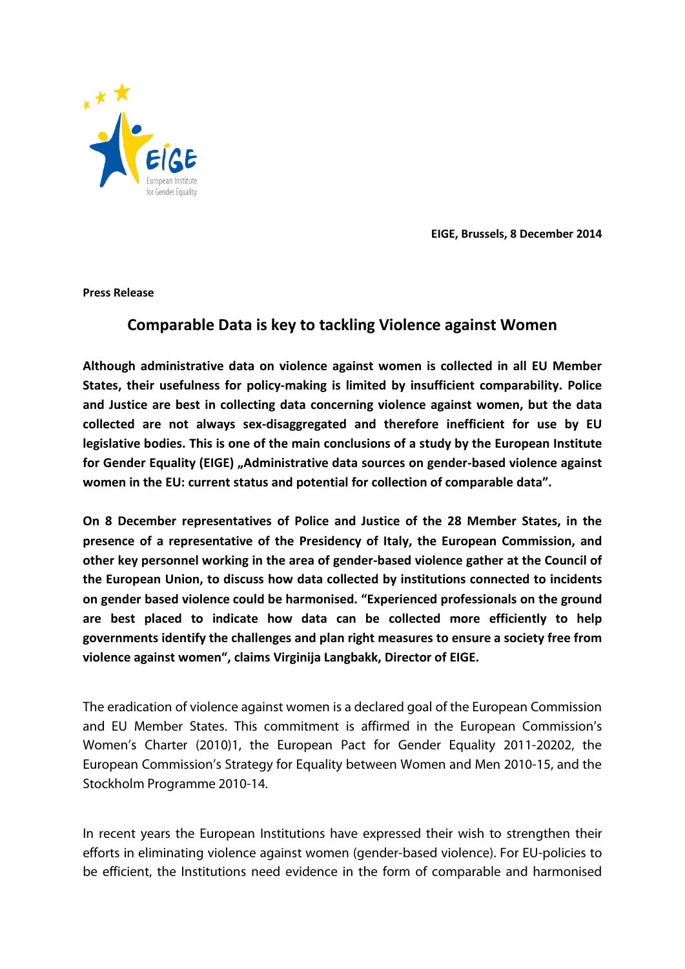

**EIGE, Brussels, 8 December 2014**

**Press Release**

## **Comparable Data is key to tackling Violence against Women**

**Although administrative data on violence against women is collected in all EU Member States, their usefulness for policy-making is limited by insufficient comparability. Police and Justice are best in collecting data concerning violence against women, but the data collected are not always sex-disaggregated and therefore inefficient for use by EU legislative bodies. This is one of the main conclusions of a study by the European Institute**  for Gender Equality (EIGE) "Administrative data sources on gender-based violence against **women in the EU: current status and potential for collection of comparable data".** 

**On 8 December representatives of Police and Justice of the 28 Member States, in the presence of a representative of the Presidency of Italy, the European Commission, and other key personnel working in the area of gender-based violence gather at the Council of the European Union, to discuss how data collected by institutions connected to incidents on gender based violence could be harmonised. "Experienced professionals on the ground are best placed to indicate how data can be collected more efficiently to help governments identify the challenges and plan right measures to ensure a society free from violence against women", claims Virginija Langbakk, Director of EIGE.** 

The eradication of violence against women is a declared goal of the European Commission and EU Member States. This commitment is affirmed in the European Commission's Women's Charter (2010)1, the European Pact for Gender Equality 2011-20202, the European Commission's Strategy for Equality between Women and Men 2010-15, and the Stockholm Programme 2010-14.

In recent years the European Institutions have expressed their wish to strengthen their efforts in eliminating violence against women (gender-based violence). For EU-policies to be efficient, the Institutions need evidence in the form of comparable and harmonised